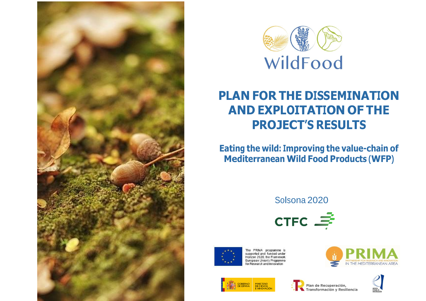



## **PLAN FOR THE DISSEMINATION AND EXPLOITATION OF THE PROJECT'S RESULTS**

**Eating the wild: Improving the value-chain of Mediterranean Wild Food Products (WFP)**

Solsona 2020





The PRIMA programme is<br>supported and funded under Horizon 2020, the Framework European Union's Programme for Research and Innovation







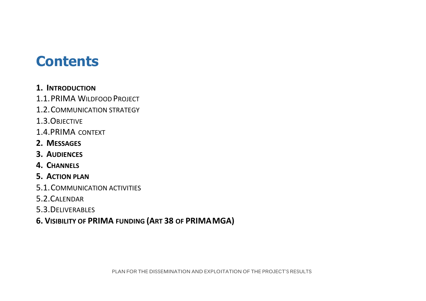# **Contents**

- **1. INTRODUCTION**
- 1.1.PRIMA WILDFOOD PROJECT
- 1.2.COMMUNICATION STRATEGY
- 1.3.OBJECTIVE
- 1.4.PRIMA CONTEXT
- **2. MESSAGES**
- **3. AUDIENCES**
- **4. CHANNELS**
- **5. ACTION PLAN**
- 5.1.COMMUNICATION ACTIVITIES
- 5.2.CALENDAR
- 5.3.DELIVERABLES
- **6. VISIBILITY OF PRIMA FUNDING (ART 38 OF PRIMAMGA)**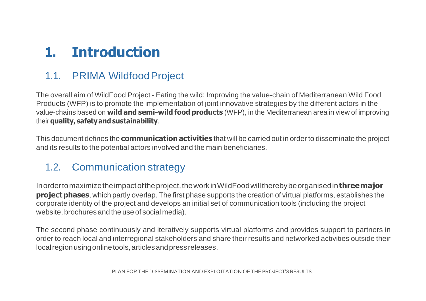# **1. Introduction**

## 1.1. PRIMA WildfoodProject

The overall aim of WildFood Project - Eating the wild: Improving the value-chain of Mediterranean Wild Food Products (WFP) is to promote the implementation of joint innovative strategies by the different actors in the value-chains based on **wild and semi-wild food products** (WFP), in the Mediterranean area in view of improving their **quality, safetyand sustainability**.

This document defines the **communication activities** that will be carried out in order to disseminate the project and its results to the potential actors involved and the main beneficiaries.

### 1.2. Communication strategy

Inordertomaximizetheimpactoftheproject,theworkinWildFoodwilltherebybeorganisedin**threemajor project phases**, which partly overlap. The first phase supports the creation of virtual platforms, establishes the corporate identity of the project and develops an initial set of communication tools (including the project website, brochures and the use of social media).

The second phase continuously and iteratively supports virtual platforms and provides support to partners in order to reach local and interregional stakeholders and share their results and networked activities outside their localregionusingonlinetools,articlesandpressreleases.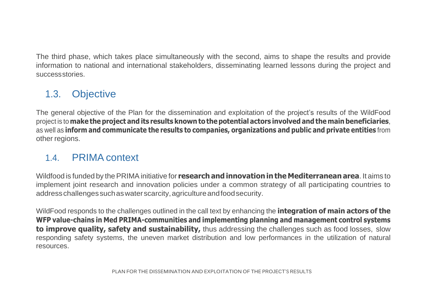The third phase, which takes place simultaneously with the second, aims to shape the results and provide information to national and international stakeholders, disseminating learned lessons during the project and successstories.

### 1.3. Objective

The general objective of the Plan for the dissemination and exploitation of the project's results of the WildFood project is to **make the project and its results known to thepotential actors involved and the main beneficiaries**, as well as **inform and communicate the results to companies, organizations and public and private entities** from other regions.

### 1.4. PRIMA context

Wildfood is funded by thePRIMA initiative for **researchand innovationinthe Mediterraneanarea**. It aims to implement joint research and innovation policies under a common strategy of all participating countries to addresschallengessuchaswaterscarcity,agricultureandfoodsecurity.

WildFood responds to the challenges outlined in the call text by enhancing the **integration of main actors of the WFP value-chains in Med PRIMA-communities and implementing planning and management control systems to improve quality, safety and sustainability,** thus addressing the challenges such as food losses, slow responding safety systems, the uneven market distribution and low performances in the utilization of natural resources.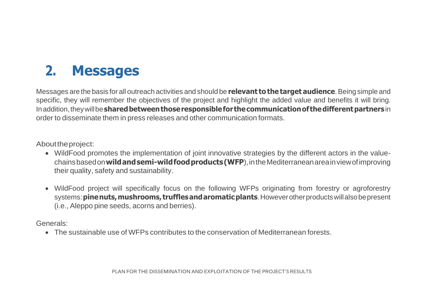# **2. Messages**

Messages are the basis for all outreach activities and should be **relevant tothe target audience**.Being simple and specific, they will remember the objectives of the project and highlight the added value and benefits it will bring. Inaddition,theywillbe**sharedbetweenthoseresponsiblefor thecommunicationof thedifferentpartners**in order to disseminate them in press releases and other communication formats.

Abouttheproject:

- WildFood promotes the implementation of joint innovative strategies by the different actors in the valuechainsbasedon**wildandsemi-wildfoodproducts(WFP**),intheMediterraneanareainviewofimproving their quality, safety and sustainability.
- WildFood project will specifically focus on the following WFPs originating from forestry or agroforestry systems:**pinenuts,mushrooms, trufflesandaromaticplants**.Howeverotherproductswillalsobepresent (i.e., Aleppo pine seeds, acorns and berries).

Generals:

• The sustainable use of WFPs contributes to the conservation of Mediterranean forests.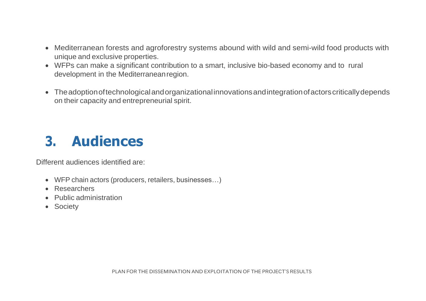- Mediterranean forests and agroforestry systems abound with wild and semi-wild food products with unique and exclusive properties.
- WFPs can make a significant contribution to a smart, inclusive bio-based economy and to rural development in the Mediterranean region.
- Theadoptionoftechnologicalandorganizationalinnovationsandintegrationofactorscriticallydepends on their capacity and entrepreneurial spirit.

# **3. Audiences**

Different audiences identified are:

- WFP chain actors (producers, retailers, businesses…)
- Researchers
- Public administration
- Society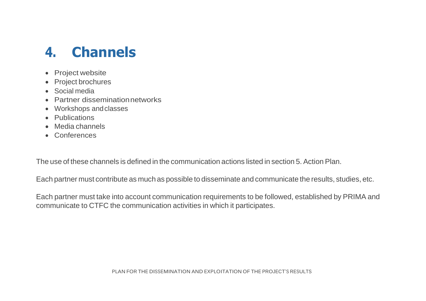# **4. Channels**

- Project website
- Project brochures
- Social media
- Partner disseminationnetworks
- Workshops andclasses
- Publications
- Media channels
- Conferences

The use of these channels is defined in the communication actions listed in section 5. Action Plan.

Each partner must contribute as much as possible to disseminate and communicate the results, studies, etc.

Each partner must take into account communication requirements to be followed, established by PRIMA and communicate to CTFC the communication activities in which it participates.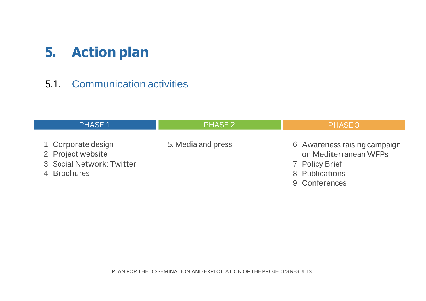# **5. Action plan**

### 5.1. Communication activities

| <b>PHASE 1</b>                                                                          | <b>PHASE 2</b>     | <b>PHASE 3</b>                                                                                                 |
|-----------------------------------------------------------------------------------------|--------------------|----------------------------------------------------------------------------------------------------------------|
| 1. Corporate design<br>2. Project website<br>3. Social Network: Twitter<br>4. Brochures | 5. Media and press | 6. Awareness raising campaign<br>on Mediterranean WFPs<br>7. Policy Brief<br>8. Publications<br>9. Conferences |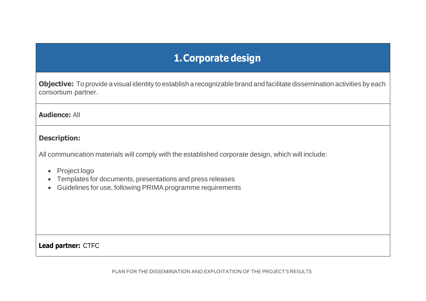## **1.Corporate design**

**Objective:** To provide a visual identity to establish a recognizable brand and facilitate dissemination activities by each consortium partner.

#### **Audience:** All

#### **Description:**

All communication materials will comply with the established corporate design, which will include:

- Project logo
- Templates for documents, presentations and press releases
- Guidelines for use, following PRIMA programme requirements

**Lead partner:** CTFC

PLAN FOR THE DISSEMINATION AND EXPLOITATION OF THE PROJECT'S RESULTS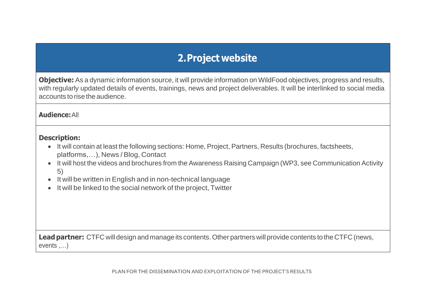## **2.Project website**

**Objective:** As a dynamic information source, it will provide information on WildFood objectives, progress and results, with regularly updated details of events, trainings, news and project deliverables. It will be interlinked to social media accounts to rise the audience.

#### **Audience:**All

#### **Description:**

- It will contain at least the following sections: Home, Project, Partners, Results (brochures, factsheets, platforms,…), News / Blog, Contact
- It will host the videos and brochures from the Awareness Raising Campaign (WP3, see Communication Activity 5)
- It will be written in English and in non-technical language
- It will be linked to the social network of the project, Twitter

**Lead partner:** CTFC will design and manage its contents. Other partners will provide contents to the CTFC (news, events ,…)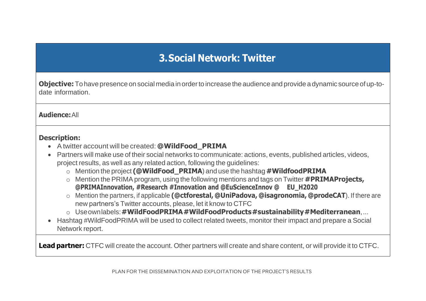## **3.Social Network: Twitter**

**Objective:** To have presence on social media in order to increase the audience and provide a dynamic source of up-todate information.

#### **Audience:**All

#### **Description:**

- A twitter account will be created: **@WildFood\_PRIMA**
- Partners will make use of their social networks to communicate: actions, events, published articles, videos, project results, as well as any related action, following the guidelines:
	- o Mention the project **(@WildFood\_PRIMA**) and use the hashtag **#WildfoodPRIMA**
	- o Mention the PRIMAprogram, using the following mentions and tags on Twitter **#PRIMAProjects, @PRIMAInnovation, #Research #Innovation and @EuScienceInnov @ EU\_H2020**
	- o Mention the partners, if applicable **(@ctforestal, @UniPadova, @isagronomia, @prodeCAT**). If there are new partners's Twitter accounts, please, let it know to CTFC
	- o Useownlabels:**#WildFoodPRIMA#WildFoodProducts#sustainability#Mediterranean**,...
- Hashtag #WildFoodPRIMA will be used to collect related tweets, monitor their impact and prepare a Social Network report.

**Lead partner:** CTFC will create the account. Other partners will create and share content, or will provide it to CTFC.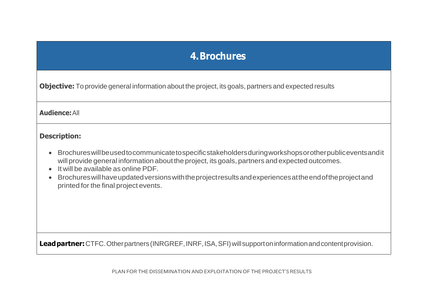### **4.Brochures**

**Objective:** To provide general information about the project, its goals, partners and expected results

#### **Audience:**All

#### **Description:**

- Brochureswillbeusedtocommunicatetospecificstakeholdersduringworkshopsorotherpubliceventsandit will provide general information about the project, its goals, partners and expected outcomes.
- It will be available as online PDF.
- Brochureswillhaveupdatedversionswiththeprojectresultsandexperiencesattheendoftheprojectand printed for the final project events.

**Lead partner:** CTFC. Other partners (INRGREF, INRF, ISA, SFI) will support on information and content provision.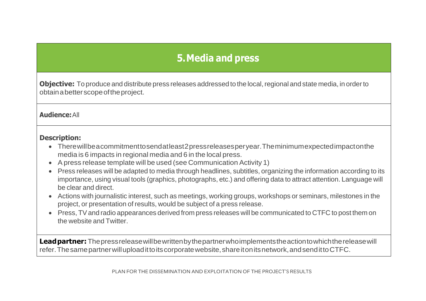## **5.Media and press**

**Objective:** To produce and distribute press releases addressed to the local, regional and state media, in order to obtainabetterscopeoftheproject.

#### **Audience:**All

#### **Description:**

- Therewillbeacommitmenttosendatleast2pressreleasesperyear.Theminimumexpectedimpactonthe media is 6 impacts in regional media and 6 in the local press.
- A press release template will be used (see Communication Activity 1)
- Press releases will be adapted to media through headlines, subtitles, organizing the information according to its importance, using visual tools (graphics, photographs, etc.) and offering data to attract attention. Language will be clear and direct.
- Actions with journalistic interest, such as meetings, working groups, workshops or seminars, milestones in the project, or presentation of results, would be subject of a press release.
- Press, TVand radio appearances derived from press releases will be communicated to CTFC to post them on the website and Twitter.

**Leadpartner:** Thepressreleasewillbewrittenbythepartnerwhoimplementstheactiontowhichthereleasewill refer.Thesamepartnerwilluploadittoitscorporatewebsite,shareitonitsnetwork,andsendittoCTFC.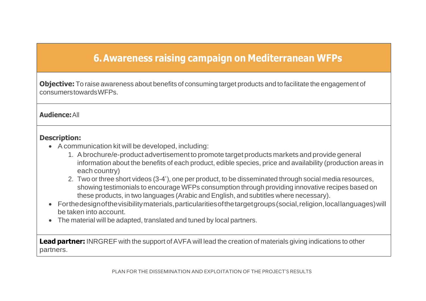### **6.Awareness raising campaign on Mediterranean WFPs**

**Objective:** To raise awareness about benefits of consuming target products and to facilitate the engagement of consumerstowardsWFPs.

#### **Audience:**All

#### **Description:**

- A communication kit will be developed, including:
	- 1. A brochure/e-product advertisement to promote target products markets and provide general information about the benefits of each product, edible species, price and availability (production areas in each country)
	- 2. Two or three short videos (3-4'), one per product, to be disseminated through social media resources, showing testimonials to encourage WFPs consumption through providing innovative recipes based on these products, in two languages (Arabic and English, and subtitles where necessary).
- Forthedesignofthevisibilitymaterials,particularitiesofthetargetgroups(social,religion,locallanguages)will be taken into account.
- The material will be adapted, translated and tuned by local partners.

**Lead partner:**INRGREF with the support of AVFA will lead the creation of materials giving indications to other partners.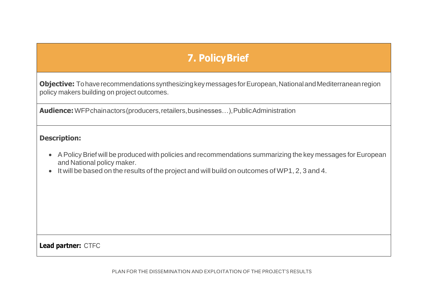## **7. PolicyBrief**

**Objective:** To have recommendations synthesizing key messages for European, National and Mediterranean region policy makers building on project outcomes.

**Audience:**WFPchainactors(producers,retailers,businesses…),PublicAdministration

#### **Description:**

- APolicy Brief will be produced with policies and recommendations summarizing the key messages for European and National policy maker.
- It will be based on the results of the project and will build on outcomes of WP1, 2, 3 and 4.

**Lead partner:** CTFC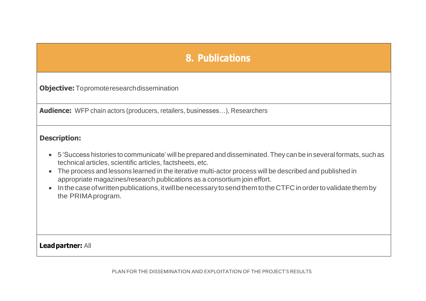### **8. Publications**

**Objective:**Topromoteresearchdissemination

**Audience:** WFP chain actors (producers, retailers, businesses…), Researchers

#### **Description:**

- 5 'Success histories to communicate'will be prepared and disseminated.They canbe inseveral formats, such as technical articles, scientific articles, factsheets, etc.
- The process and lessons learned in the iterative multi-actor process will be described and published in appropriate magazines/research publications as a consortium join effort.
- In the case of written publications, it will be necessary to send them to the CTFC in order to validate them by the PRIMAprogram.

**Leadpartner:** All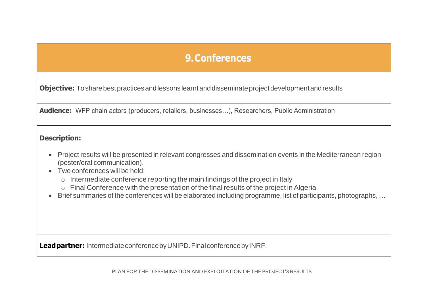### **9.Conferences**

**Objective:** To share best practices and lessons learnt and disseminate project development and results

**Audience:** WFP chain actors (producers, retailers, businesses…), Researchers, Public Administration

#### **Description:**

- Project results will be presented in relevant congresses and dissemination events in the Mediterranean region (poster/oral communication).
- Two conferences will be held:
	- o Intermediate conference reporting the main findings of the project in Italy
	- o Final Conference with the presentation of the final results of the project in Algeria
- Brief summaries of the conferences will be elaborated including programme, list of participants, photographs, …

**Leadpartner:** IntermediateconferencebyUNIPD.FinalconferencebyINRF.

PLAN FOR THE DISSEMINATION AND EXPLOITATION OF THE PROJECT'S RESULTS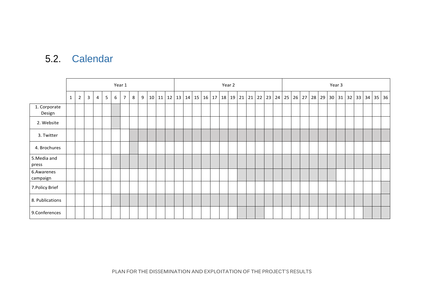### 5.2. Calendar

|                        | Year 1                                                                                                                                |  |  |  |  |  |  |  |  | Year 2 |  |       |  |  |             |  |    |  |  |                           |                   |  | Year 3 |         |    |    |    |    |  |         |    |  |              |  |  |
|------------------------|---------------------------------------------------------------------------------------------------------------------------------------|--|--|--|--|--|--|--|--|--------|--|-------|--|--|-------------|--|----|--|--|---------------------------|-------------------|--|--------|---------|----|----|----|----|--|---------|----|--|--------------|--|--|
|                        | $\mathbf{3}$<br>5 <sub>1</sub><br>6<br>$\overline{7}$<br>11<br>12<br>$\overline{2}$<br>8<br>9<br>10 <sup>1</sup><br>4<br>$\mathbf{1}$ |  |  |  |  |  |  |  |  | 13     |  | 14 15 |  |  | 16 17 18 19 |  | 21 |  |  | $21 \mid 22 \mid 23 \mid$ | $24 \mid 25 \mid$ |  |        | $26$ 27 | 28 | 29 | 30 | 31 |  | $32$ 33 | 34 |  | $35 \mid 36$ |  |  |
| 1. Corporate<br>Design |                                                                                                                                       |  |  |  |  |  |  |  |  |        |  |       |  |  |             |  |    |  |  |                           |                   |  |        |         |    |    |    |    |  |         |    |  |              |  |  |
| 2. Website             |                                                                                                                                       |  |  |  |  |  |  |  |  |        |  |       |  |  |             |  |    |  |  |                           |                   |  |        |         |    |    |    |    |  |         |    |  |              |  |  |
| 3. Twitter             |                                                                                                                                       |  |  |  |  |  |  |  |  |        |  |       |  |  |             |  |    |  |  |                           |                   |  |        |         |    |    |    |    |  |         |    |  |              |  |  |
| 4. Brochures           |                                                                                                                                       |  |  |  |  |  |  |  |  |        |  |       |  |  |             |  |    |  |  |                           |                   |  |        |         |    |    |    |    |  |         |    |  |              |  |  |
| 5. Media and<br>press  |                                                                                                                                       |  |  |  |  |  |  |  |  |        |  |       |  |  |             |  |    |  |  |                           |                   |  |        |         |    |    |    |    |  |         |    |  |              |  |  |
| 6.Awarenes<br>campaign |                                                                                                                                       |  |  |  |  |  |  |  |  |        |  |       |  |  |             |  |    |  |  |                           |                   |  |        |         |    |    |    |    |  |         |    |  |              |  |  |
| 7. Policy Brief        |                                                                                                                                       |  |  |  |  |  |  |  |  |        |  |       |  |  |             |  |    |  |  |                           |                   |  |        |         |    |    |    |    |  |         |    |  |              |  |  |
| 8. Publications        |                                                                                                                                       |  |  |  |  |  |  |  |  |        |  |       |  |  |             |  |    |  |  |                           |                   |  |        |         |    |    |    |    |  |         |    |  |              |  |  |
| 9.Conferences          |                                                                                                                                       |  |  |  |  |  |  |  |  |        |  |       |  |  |             |  |    |  |  |                           |                   |  |        |         |    |    |    |    |  |         |    |  |              |  |  |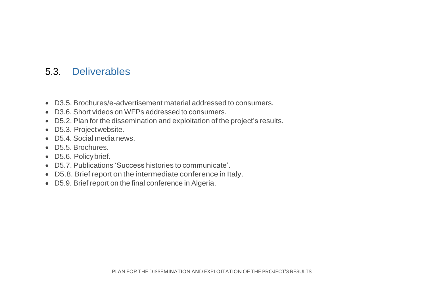### 5.3. Deliverables

- D3.5. Brochures/e-advertisement material addressed to consumers.
- D3.6. Short videos on WFPs addressed to consumers.
- D5.2. Plan for the dissemination and exploitation of the project's results.
- D5.3. Projectwebsite.
- D5.4. Social media news.
- D5.5. Brochures.
- D5.6. Policy brief.
- D5.7. Publications 'Success histories to communicate'.
- D5.8. Brief report on the intermediate conference in Italy.
- D5.9. Brief report on the final conference in Algeria.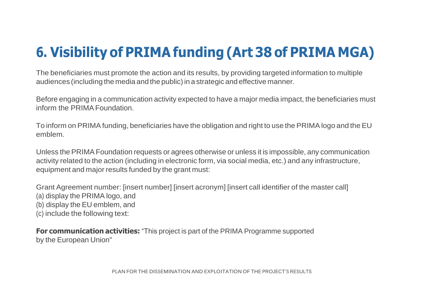# **6. Visibility of PRIMA funding (Art 38 of PRIMA MGA)**

The beneficiaries must promote the action and its results, by providing targeted information to multiple audiences (including the media and the public) in a strategic and effective manner.

Before engaging in a communication activity expected to have a major media impact, the beneficiaries must inform the PRIMA Foundation

To inform on PRIMA funding, beneficiaries have the obligation and right to use the PRIMA logo and the EU emblem.

Unless the PRIMA Foundation requests or agrees otherwise or unless it is impossible, any communication activity related to the action (including in electronic form, via social media, etc.) and any infrastructure, equipment and major results funded by the grant must:

Grant Agreement number: [insert number] [insert acronym] [insert call identifier of the master call] (a) display the PRIMA logo, and (b) display the EU emblem, and

(c) include the following text:

**For communication activities:** "This project is part of the PRIMA Programme supported by the European Union"